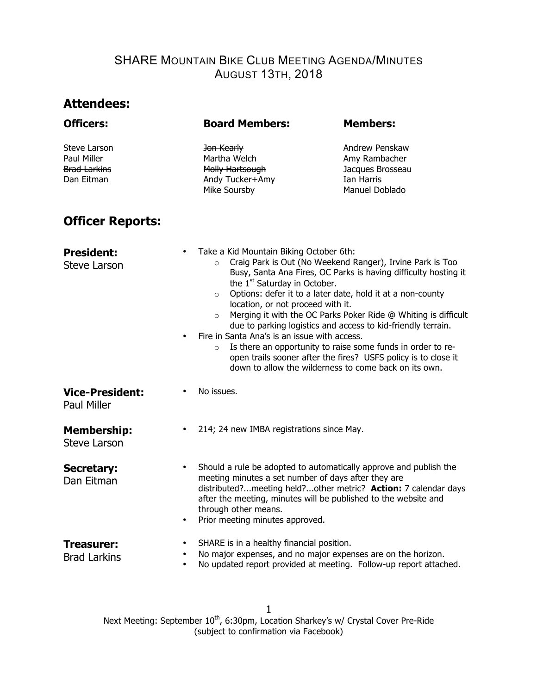# **Attendees:**

| <b>Officers:</b>                                                 | <b>Board Members:</b>                                                            | <b>Members:</b>                                                                                                                                                                                                                                                                                                                                                                                                                                                                                                                                                                                                                                                                                    |  |  |  |  |
|------------------------------------------------------------------|----------------------------------------------------------------------------------|----------------------------------------------------------------------------------------------------------------------------------------------------------------------------------------------------------------------------------------------------------------------------------------------------------------------------------------------------------------------------------------------------------------------------------------------------------------------------------------------------------------------------------------------------------------------------------------------------------------------------------------------------------------------------------------------------|--|--|--|--|
| Steve Larson<br>Paul Miller<br><b>Brad Larkins</b><br>Dan Eitman | Jon Kearly<br>Martha Welch<br>Molly Hartsough<br>Andy Tucker+Amy<br>Mike Soursby | Andrew Penskaw<br>Amy Rambacher<br>Jacques Brosseau<br>Ian Harris<br>Manuel Doblado                                                                                                                                                                                                                                                                                                                                                                                                                                                                                                                                                                                                                |  |  |  |  |
| <b>Officer Reports:</b>                                          |                                                                                  |                                                                                                                                                                                                                                                                                                                                                                                                                                                                                                                                                                                                                                                                                                    |  |  |  |  |
| <b>President:</b><br><b>Steve Larson</b>                         | $\bullet$<br>$\circ$<br>$\circ$<br>$\circ$<br>$\bullet$<br>$\circ$               | Take a Kid Mountain Biking October 6th:<br>Craig Park is Out (No Weekend Ranger), Irvine Park is Too<br>Busy, Santa Ana Fires, OC Parks is having difficulty hosting it<br>the 1 <sup>st</sup> Saturday in October.<br>Options: defer it to a later date, hold it at a non-county<br>location, or not proceed with it.<br>Merging it with the OC Parks Poker Ride @ Whiting is difficult<br>due to parking logistics and access to kid-friendly terrain.<br>Fire in Santa Ana's is an issue with access.<br>Is there an opportunity to raise some funds in order to re-<br>open trails sooner after the fires? USFS policy is to close it<br>down to allow the wilderness to come back on its own. |  |  |  |  |
| <b>Vice-President:</b><br><b>Paul Miller</b>                     | No issues.<br>٠                                                                  |                                                                                                                                                                                                                                                                                                                                                                                                                                                                                                                                                                                                                                                                                                    |  |  |  |  |
| <b>Membership:</b><br><b>Steve Larson</b>                        | $\bullet$                                                                        | 214; 24 new IMBA registrations since May.                                                                                                                                                                                                                                                                                                                                                                                                                                                                                                                                                                                                                                                          |  |  |  |  |
| <b>Secretary:</b><br>Dan Eitman                                  | $\bullet$<br>through other means.                                                | Should a rule be adopted to automatically approve and publish the<br>meeting minutes a set number of days after they are<br>distributed?meeting held?other metric? Action: 7 calendar days<br>after the meeting, minutes will be published to the website and<br>Prior meeting minutes approved.                                                                                                                                                                                                                                                                                                                                                                                                   |  |  |  |  |
| Treasurer:<br><b>Brad Larkins</b>                                | ٠                                                                                | SHARE is in a healthy financial position.<br>No major expenses, and no major expenses are on the horizon.<br>No updated report provided at meeting. Follow-up report attached.                                                                                                                                                                                                                                                                                                                                                                                                                                                                                                                     |  |  |  |  |

Next Meeting: September 10<sup>th</sup>, 6:30pm, Location Sharkey's w/ Crystal Cover Pre-Ride (subject to confirmation via Facebook) 1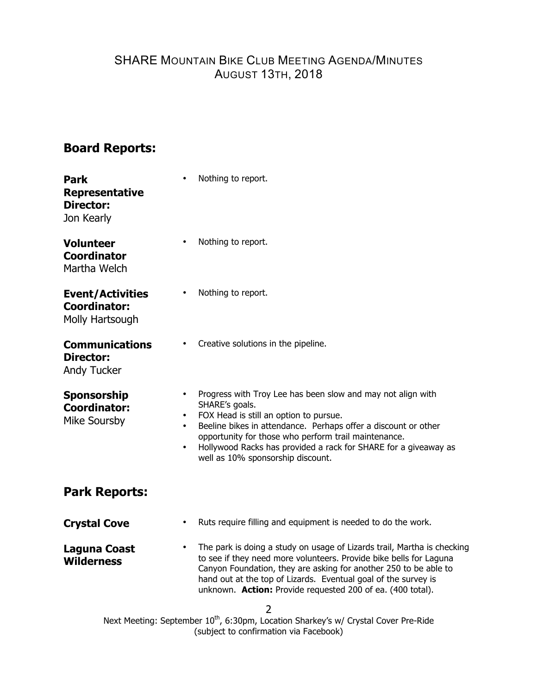# **Board Reports:**

| <b>Park</b><br><b>Representative</b><br><b>Director:</b><br>Jon Kearly | Nothing to report.                                                                                                                                                                                                                                                                                                                                                                            |  |  |  |
|------------------------------------------------------------------------|-----------------------------------------------------------------------------------------------------------------------------------------------------------------------------------------------------------------------------------------------------------------------------------------------------------------------------------------------------------------------------------------------|--|--|--|
| <b>Volunteer</b><br><b>Coordinator</b><br>Martha Welch                 | Nothing to report.<br>٠                                                                                                                                                                                                                                                                                                                                                                       |  |  |  |
| <b>Event/Activities</b><br><b>Coordinator:</b><br>Molly Hartsough      | Nothing to report.                                                                                                                                                                                                                                                                                                                                                                            |  |  |  |
| <b>Communications</b><br><b>Director:</b><br>Andy Tucker               | Creative solutions in the pipeline.                                                                                                                                                                                                                                                                                                                                                           |  |  |  |
| <b>Sponsorship</b><br><b>Coordinator:</b><br>Mike Soursby              | Progress with Troy Lee has been slow and may not align with<br>٠<br>SHARE's goals.<br>FOX Head is still an option to pursue.<br>٠<br>Beeline bikes in attendance. Perhaps offer a discount or other<br>$\bullet$<br>opportunity for those who perform trail maintenance.<br>Hollywood Racks has provided a rack for SHARE for a giveaway as<br>$\bullet$<br>well as 10% sponsorship discount. |  |  |  |
| <b>Park Reports:</b>                                                   |                                                                                                                                                                                                                                                                                                                                                                                               |  |  |  |
| <b>Crystal Cove</b>                                                    | Ruts require filling and equipment is needed to do the work.<br>$\bullet$                                                                                                                                                                                                                                                                                                                     |  |  |  |
| <b>Laguna Coast</b><br><b>Wilderness</b>                               | The park is doing a study on usage of Lizards trail, Martha is checking<br>$\bullet$<br>to see if they need more volunteers. Provide bike bells for Laguna<br>Canyon Foundation, they are asking for another 250 to be able to<br>hand out at the top of Lizards. Eventual goal of the survey is<br>unknown. Action: Provide requested 200 of ea. (400 total).                                |  |  |  |
|                                                                        | 2<br>Next Meeting: September 10 <sup>th</sup> , 6:30pm, Location Sharkey's w/ Crystal Cover Pre-Ride<br>(subject to confirmation via Facebook)                                                                                                                                                                                                                                                |  |  |  |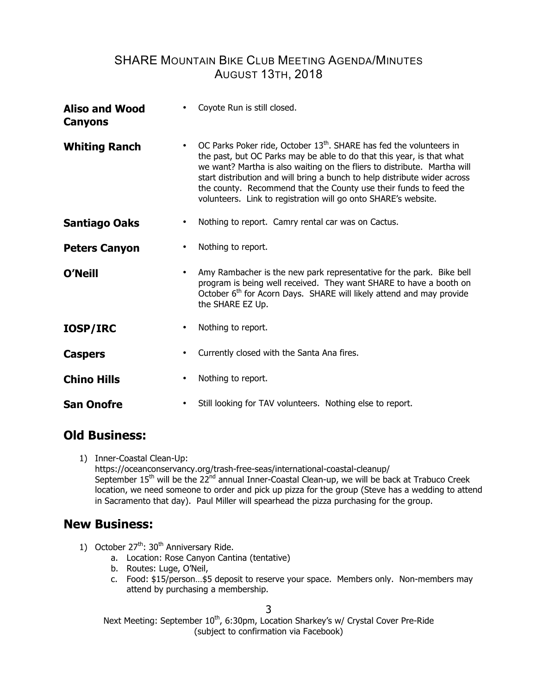| <b>Aliso and Wood</b><br>Canyons | Coyote Run is still closed.                                                                                                                                                                                                                                                                                                                                                                                                                                           |
|----------------------------------|-----------------------------------------------------------------------------------------------------------------------------------------------------------------------------------------------------------------------------------------------------------------------------------------------------------------------------------------------------------------------------------------------------------------------------------------------------------------------|
| <b>Whiting Ranch</b>             | OC Parks Poker ride, October 13 <sup>th</sup> . SHARE has fed the volunteers in<br>$\bullet$<br>the past, but OC Parks may be able to do that this year, is that what<br>we want? Martha is also waiting on the fliers to distribute. Martha will<br>start distribution and will bring a bunch to help distribute wider across<br>the county. Recommend that the County use their funds to feed the<br>volunteers. Link to registration will go onto SHARE's website. |
| Santiago Oaks                    | Nothing to report. Camry rental car was on Cactus.                                                                                                                                                                                                                                                                                                                                                                                                                    |
| <b>Peters Canyon</b>             | Nothing to report.                                                                                                                                                                                                                                                                                                                                                                                                                                                    |
| O'Neill                          | Amy Rambacher is the new park representative for the park. Bike bell<br>$\bullet$<br>program is being well received. They want SHARE to have a booth on<br>October 6 <sup>th</sup> for Acorn Days. SHARE will likely attend and may provide<br>the SHARE EZ Up.                                                                                                                                                                                                       |
| <b>IOSP/IRC</b>                  | Nothing to report.<br>٠                                                                                                                                                                                                                                                                                                                                                                                                                                               |
| <b>Caspers</b>                   | Currently closed with the Santa Ana fires.<br>$\bullet$                                                                                                                                                                                                                                                                                                                                                                                                               |
| <b>Chino Hills</b>               | Nothing to report.<br>$\bullet$                                                                                                                                                                                                                                                                                                                                                                                                                                       |
| San Onofre                       | Still looking for TAV volunteers. Nothing else to report.<br>$\bullet$                                                                                                                                                                                                                                                                                                                                                                                                |

### **Old Business:**

1) Inner-Coastal Clean-Up: https://oceanconservancy.org/trash-free-seas/international-coastal-cleanup/ September 15<sup>th</sup> will be the 22<sup>nd</sup> annual Inner-Coastal Clean-up, we will be back at Trabuco Creek location, we need someone to order and pick up pizza for the group (Steve has a wedding to attend in Sacramento that day). Paul Miller will spearhead the pizza purchasing for the group.

### **New Business:**

- 1) October 27<sup>th</sup>: 30<sup>th</sup> Anniversary Ride.
	- a. Location: Rose Canyon Cantina (tentative)
	- b. Routes: Luge, O'Neil,
	- c. Food: \$15/person…\$5 deposit to reserve your space. Members only. Non-members may attend by purchasing a membership.

3

Next Meeting: September 10<sup>th</sup>, 6:30pm, Location Sharkey's w/ Crystal Cover Pre-Ride (subject to confirmation via Facebook)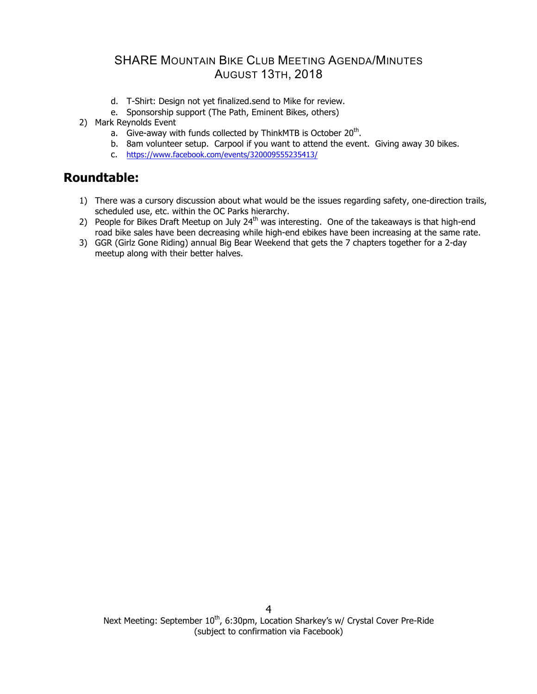- d. T-Shirt: Design not yet finalized.send to Mike for review.
- e. Sponsorship support (The Path, Eminent Bikes, others)
- 2) Mark Reynolds Event
	- a. Give-away with funds collected by ThinkMTB is October 20<sup>th</sup>.
	- b. 8am volunteer setup. Carpool if you want to attend the event. Giving away 30 bikes.
	- c. https://www.facebook.com/events/320009555235413/

# **Roundtable:**

- 1) There was a cursory discussion about what would be the issues regarding safety, one-direction trails, scheduled use, etc. within the OC Parks hierarchy.
- 2) People for Bikes Draft Meetup on July  $24<sup>th</sup>$  was interesting. One of the takeaways is that high-end road bike sales have been decreasing while high-end ebikes have been increasing at the same rate.
- 3) GGR (Girlz Gone Riding) annual Big Bear Weekend that gets the 7 chapters together for a 2-day meetup along with their better halves.